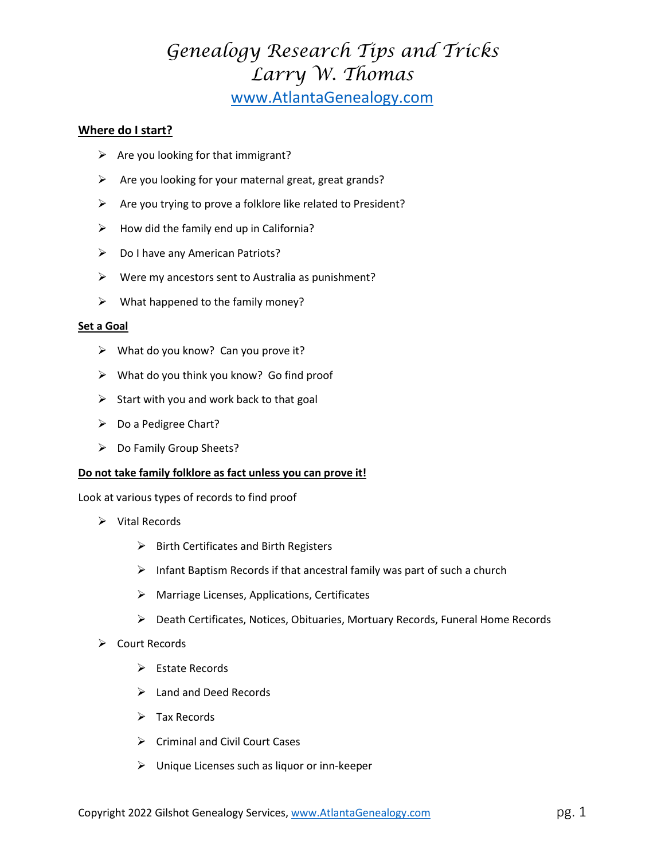## **Where do I start?**

- $\triangleright$  Are you looking for that immigrant?
- $\triangleright$  Are you looking for your maternal great, great grands?
- $\triangleright$  Are you trying to prove a folklore like related to President?
- $\triangleright$  How did the family end up in California?
- $\triangleright$  Do I have any American Patriots?
- $\triangleright$  Were my ancestors sent to Australia as punishment?
- $\triangleright$  What happened to the family money?

#### **Set a Goal**

- $\triangleright$  What do you know? Can you prove it?
- $\triangleright$  What do you think you know? Go find proof
- $\triangleright$  Start with you and work back to that goal
- ▶ Do a Pedigree Chart?
- ▶ Do Family Group Sheets?

## **Do not take family folklore as fact unless you can prove it!**

Look at various types of records to find proof

- $\triangleright$  Vital Records
	- $\triangleright$  Birth Certificates and Birth Registers
	- $\triangleright$  Infant Baptism Records if that ancestral family was part of such a church
	- $\triangleright$  Marriage Licenses, Applications, Certificates
	- Death Certificates, Notices, Obituaries, Mortuary Records, Funeral Home Records
- $\triangleright$  Court Records
	- $\triangleright$  Estate Records
	- $\blacktriangleright$  Land and Deed Records
	- $\triangleright$  Tax Records
	- $\triangleright$  Criminal and Civil Court Cases
	- $\triangleright$  Unique Licenses such as liquor or inn-keeper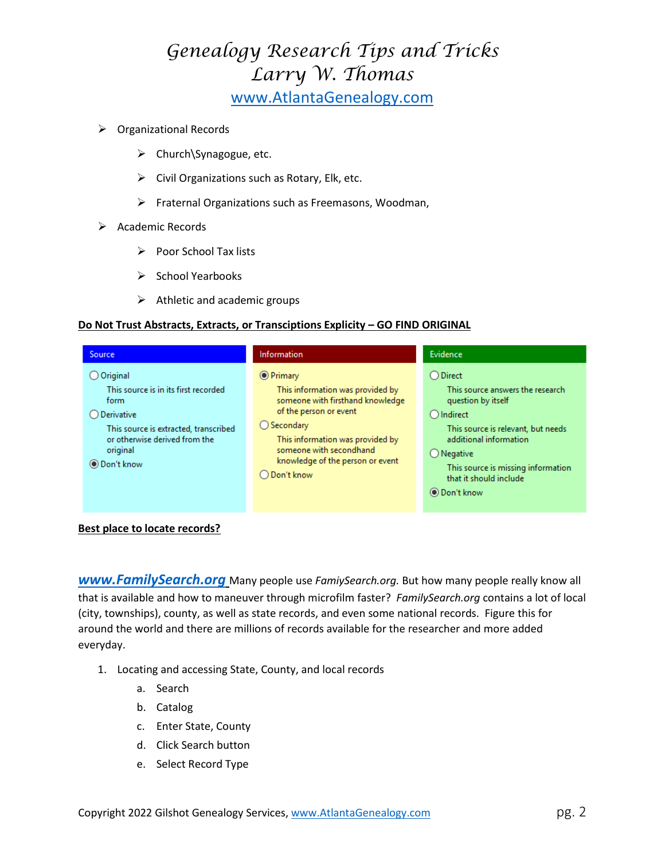- ▶ Organizational Records
	- $\triangleright$  Church\Synagogue, etc.
	- $\triangleright$  Civil Organizations such as Rotary, Elk, etc.
	- $\triangleright$  Fraternal Organizations such as Freemasons, Woodman,
- $\triangleright$  Academic Records
	- $\triangleright$  Poor School Tax lists
	- $\triangleright$  School Yearbooks
	- $\triangleright$  Athletic and academic groups

## **Do Not Trust Abstracts, Extracts, or Transciptions Explicity – GO FIND ORIGINAL**

| <b>Source</b>                                                                                                                                                                               | Information                                                                                                                                                                                                                                                   | Evidence                                                                                                                                                                                                                                                                        |
|---------------------------------------------------------------------------------------------------------------------------------------------------------------------------------------------|---------------------------------------------------------------------------------------------------------------------------------------------------------------------------------------------------------------------------------------------------------------|---------------------------------------------------------------------------------------------------------------------------------------------------------------------------------------------------------------------------------------------------------------------------------|
| $O$ Original<br>This source is in its first recorded<br>form<br>$O$ Derivative<br>This source is extracted, transcribed<br>or otherwise derived from the<br>original<br><b>O</b> Don't know | <b>O</b> Primary<br>This information was provided by<br>someone with firsthand knowledge<br>of the person or event<br>$\bigcirc$ Secondary<br>This information was provided by<br>someone with secondhand<br>knowledge of the person or event<br>◯ Don't know | $\bigcirc$ Direct<br>This source answers the research<br>question by itself<br>$\bigcap$ Indirect<br>This source is relevant, but needs<br>additional information<br>$\bigcirc$ Negative<br>This source is missing information<br>that it should include<br><b>◎</b> Don't know |

## **Best place to locate records?**

*[www.FamilySearch.org](http://www.familysearch.org/)* Many people use *FamiySearch.org.* But how many people really know all that is available and how to maneuver through microfilm faster? *FamilySearch.org* contains a lot of local (city, townships), county, as well as state records, and even some national records. Figure this for around the world and there are millions of records available for the researcher and more added everyday.

- 1. Locating and accessing State, County, and local records
	- a. Search
	- b. Catalog
	- c. Enter State, County
	- d. Click Search button
	- e. Select Record Type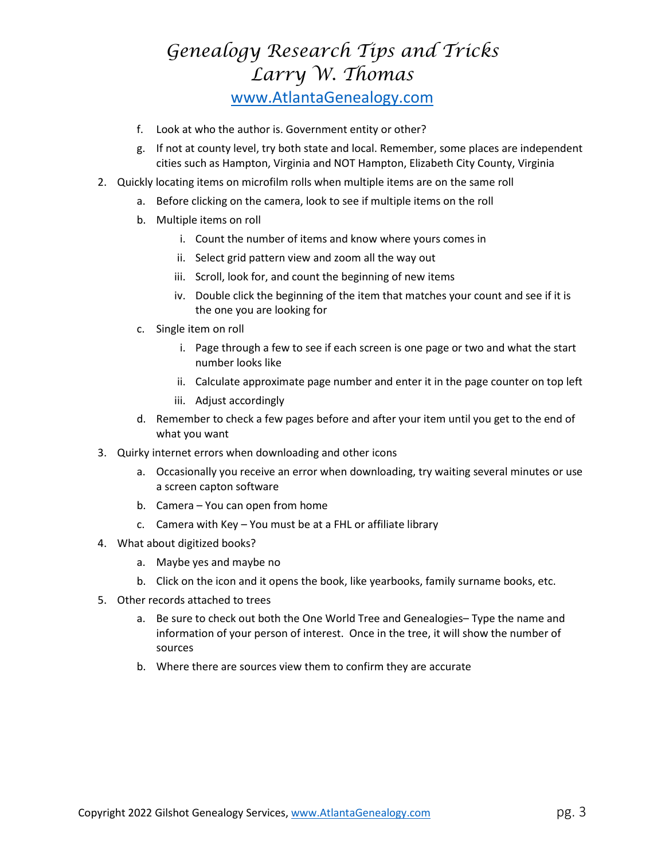- f. Look at who the author is. Government entity or other?
- g. If not at county level, try both state and local. Remember, some places are independent cities such as Hampton, Virginia and NOT Hampton, Elizabeth City County, Virginia
- 2. Quickly locating items on microfilm rolls when multiple items are on the same roll
	- a. Before clicking on the camera, look to see if multiple items on the roll
	- b. Multiple items on roll
		- i. Count the number of items and know where yours comes in
		- ii. Select grid pattern view and zoom all the way out
		- iii. Scroll, look for, and count the beginning of new items
		- iv. Double click the beginning of the item that matches your count and see if it is the one you are looking for
	- c. Single item on roll
		- i. Page through a few to see if each screen is one page or two and what the start number looks like
		- ii. Calculate approximate page number and enter it in the page counter on top left
		- iii. Adjust accordingly
	- d. Remember to check a few pages before and after your item until you get to the end of what you want
- 3. Quirky internet errors when downloading and other icons
	- a. Occasionally you receive an error when downloading, try waiting several minutes or use a screen capton software
	- b. Camera You can open from home
	- c. Camera with Key You must be at a FHL or affiliate library
- 4. What about digitized books?
	- a. Maybe yes and maybe no
	- b. Click on the icon and it opens the book, like yearbooks, family surname books, etc.
- 5. Other records attached to trees
	- a. Be sure to check out both the One World Tree and Genealogies– Type the name and information of your person of interest. Once in the tree, it will show the number of sources
	- b. Where there are sources view them to confirm they are accurate